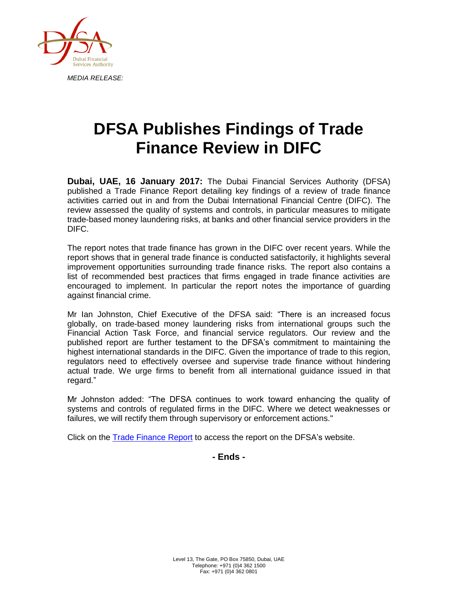

## **DFSA Publishes Findings of Trade Finance Review in DIFC**

**Dubai, UAE, 16 January 2017:** The Dubai Financial Services Authority (DFSA) published a Trade Finance Report detailing key findings of a review of trade finance activities carried out in and from the Dubai International Financial Centre (DIFC). The review assessed the quality of systems and controls, in particular measures to mitigate trade-based money laundering risks, at banks and other financial service providers in the DIFC.

The report notes that trade finance has grown in the DIFC over recent years. While the report shows that in general trade finance is conducted satisfactorily, it highlights several improvement opportunities surrounding trade finance risks. The report also contains a list of recommended best practices that firms engaged in trade finance activities are encouraged to implement. In particular the report notes the importance of guarding against financial crime.

Mr Ian Johnston, Chief Executive of the DFSA said: "There is an increased focus globally, on trade-based money laundering risks from international groups such the Financial Action Task Force, and financial service regulators. Our review and the published report are further testament to the DFSA's commitment to maintaining the highest international standards in the DIFC. Given the importance of trade to this region, regulators need to effectively oversee and supervise trade finance without hindering actual trade. We urge firms to benefit from all international guidance issued in that regard."

Mr Johnston added: "The DFSA continues to work toward enhancing the quality of systems and controls of regulated firms in the DIFC. Where we detect weaknesses or failures, we will rectify them through supervisory or enforcement actions."

Click on the [Trade Finance Report](http://dfsa.ae/en/Your-Resources/Publications-Reports#Thematic-Reviews) to access the report on the DFSA's website.

## **- Ends -**